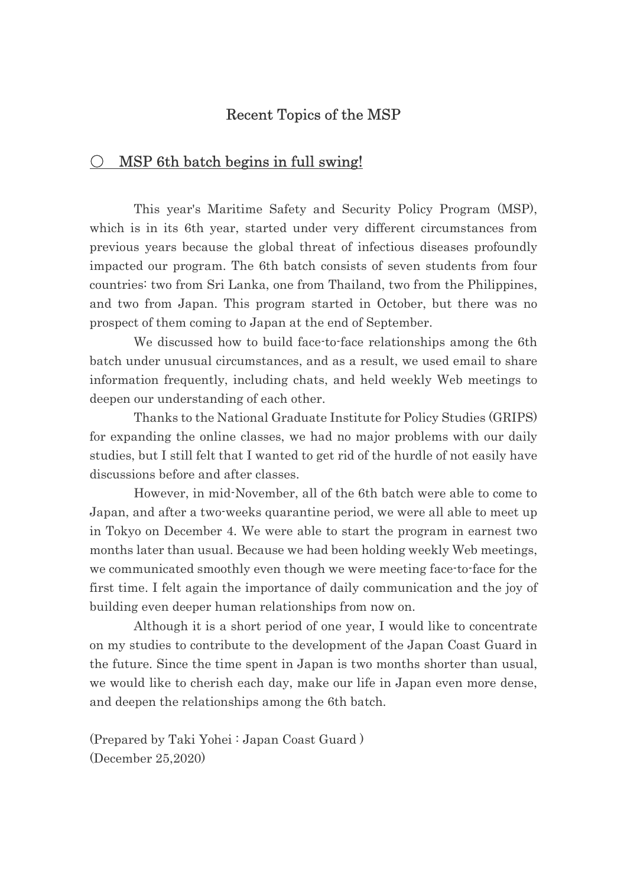## Recent Topics of the MSP

## $\bigcirc$  MSP 6th batch begins in full swing!

This year's Maritime Safety and Security Policy Program (MSP), which is in its 6th year, started under very different circumstances from previous years because the global threat of infectious diseases profoundly impacted our program. The 6th batch consists of seven students from four countries: two from Sri Lanka, one from Thailand, two from the Philippines, and two from Japan. This program started in October, but there was no prospect of them coming to Japan at the end of September.

We discussed how to build face-to-face relationships among the 6th batch under unusual circumstances, and as a result, we used email to share information frequently, including chats, and held weekly Web meetings to deepen our understanding of each other.

Thanks to the National Graduate Institute for Policy Studies (GRIPS) for expanding the online classes, we had no major problems with our daily studies, but I still felt that I wanted to get rid of the hurdle of not easily have discussions before and after classes.

However, in mid-November, all of the 6th batch were able to come to Japan, and after a two-weeks quarantine period, we were all able to meet up in Tokyo on December 4. We were able to start the program in earnest two months later than usual. Because we had been holding weekly Web meetings, we communicated smoothly even though we were meeting face-to-face for the first time. I felt again the importance of daily communication and the joy of building even deeper human relationships from now on.

Although it is a short period of one year, I would like to concentrate on my studies to contribute to the development of the Japan Coast Guard in the future. Since the time spent in Japan is two months shorter than usual, we would like to cherish each day, make our life in Japan even more dense, and deepen the relationships among the 6th batch.

(Prepared by Taki Yohei : Japan Coast Guard ) (December 25,2020)